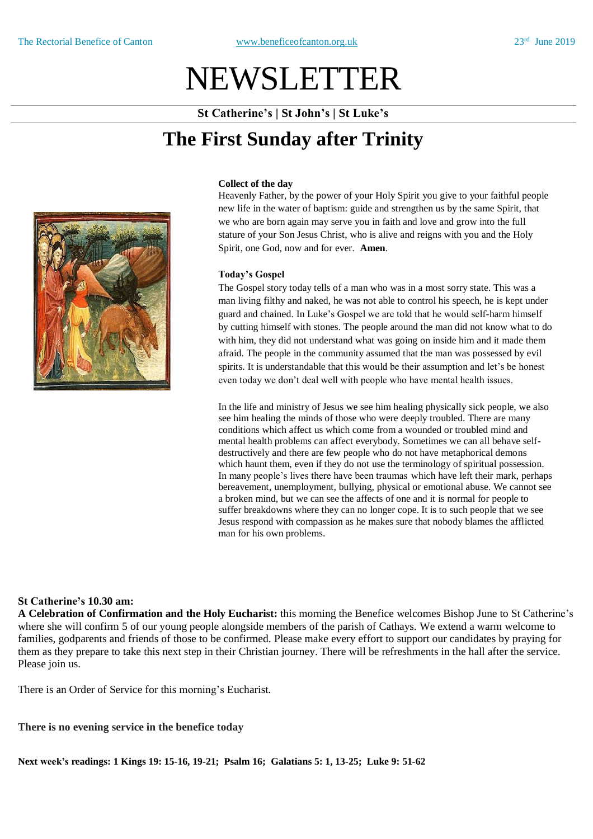# NEWSLETTER

**St Catherine's | St John's | St Luke's**

## **The First Sunday after Trinity**



#### **Collect of the day**

Heavenly Father, by the power of your Holy Spirit you give to your faithful people new life in the water of baptism: guide and strengthen us by the same Spirit, that we who are born again may serve you in faith and love and grow into the full stature of your Son Jesus Christ, who is alive and reigns with you and the Holy Spirit, one God, now and for ever. **Amen**.

#### **Today's Gospel**

The Gospel story today tells of a man who was in a most sorry state. This was a man living filthy and naked, he was not able to control his speech, he is kept under guard and chained. In Luke's Gospel we are told that he would self-harm himself by cutting himself with stones. The people around the man did not know what to do with him, they did not understand what was going on inside him and it made them afraid. The people in the community assumed that the man was possessed by evil spirits. It is understandable that this would be their assumption and let's be honest even today we don't deal well with people who have mental health issues.

In the life and ministry of Jesus we see him healing physically sick people, we also see him healing the minds of those who were deeply troubled. There are many conditions which affect us which come from a wounded or troubled mind and mental health problems can affect everybody. Sometimes we can all behave selfdestructively and there are few people who do not have metaphorical demons which haunt them, even if they do not use the terminology of spiritual possession. In many people's lives there have been traumas which have left their mark, perhaps bereavement, unemployment, bullying, physical or emotional abuse. We cannot see a broken mind, but we can see the affects of one and it is normal for people to suffer breakdowns where they can no longer cope. It is to such people that we see Jesus respond with compassion as he makes sure that nobody blames the afflicted man for his own problems.

#### **St Catherine's 10.30 am:**

**A Celebration of Confirmation and the Holy Eucharist:** this morning the Benefice welcomes Bishop June to St Catherine's where she will confirm 5 of our young people alongside members of the parish of Cathays. We extend a warm welcome to families, godparents and friends of those to be confirmed. Please make every effort to support our candidates by praying for them as they prepare to take this next step in their Christian journey. There will be refreshments in the hall after the service. Please join us.

There is an Order of Service for this morning's Eucharist.

#### **There is no evening service in the benefice today**